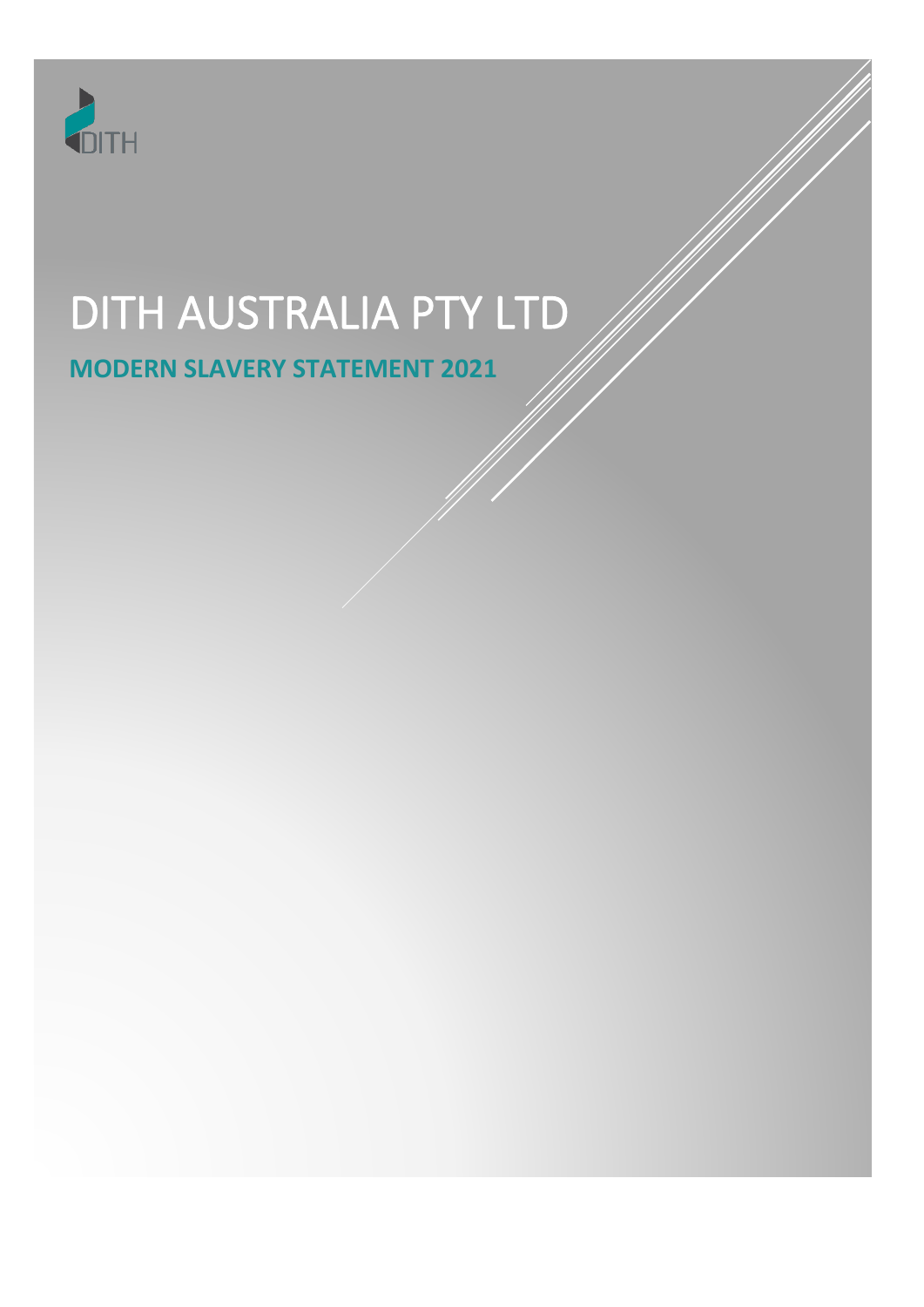

# DITH AUSTRALIA PTY LTD

# **MODERN SLAVERY STATEMENT 2021**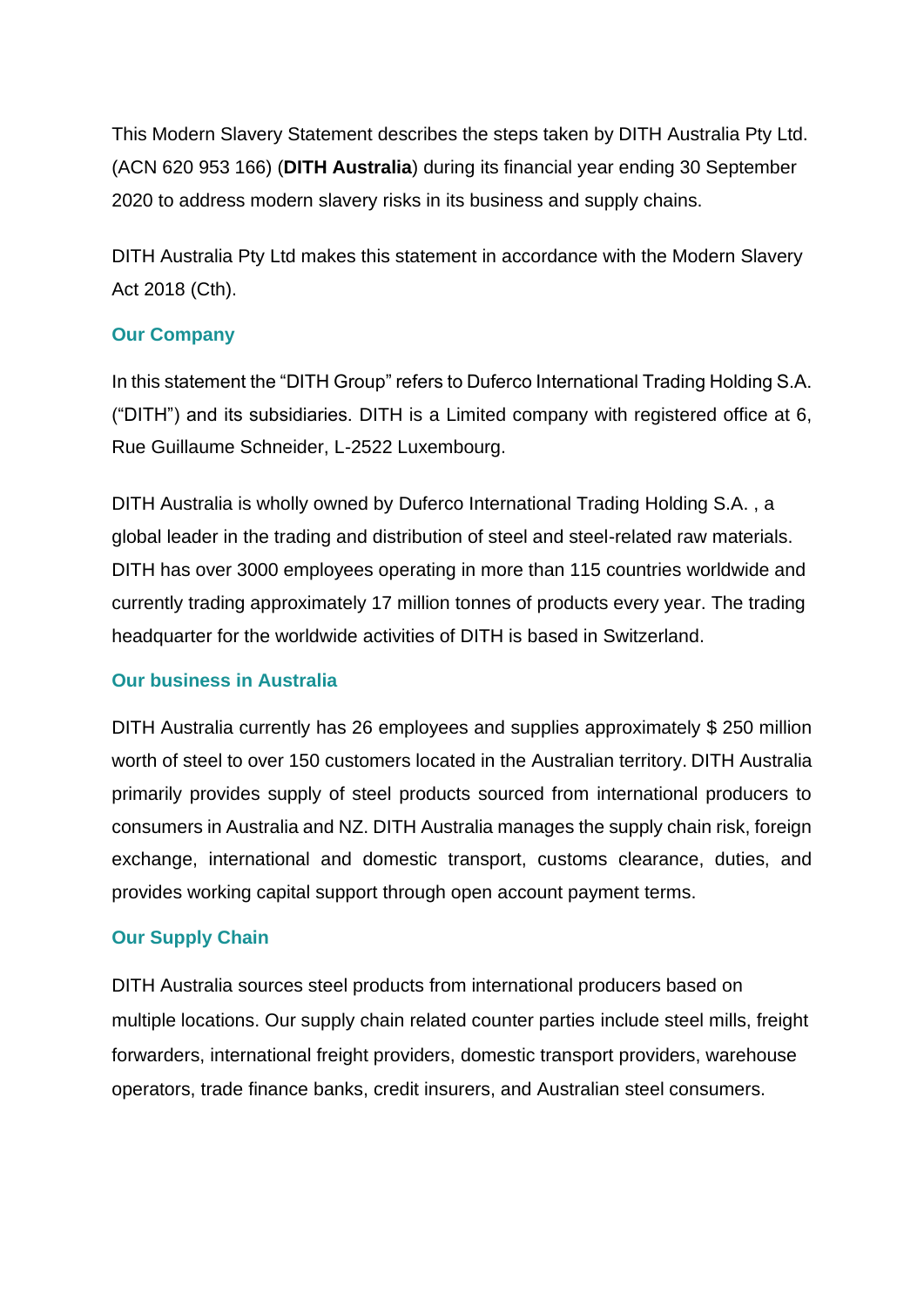This Modern Slavery Statement describes the steps taken by DITH Australia Pty Ltd. (ACN 620 953 166) (**DITH Australia**) during its financial year ending 30 September 2020 to address modern slavery risks in its business and supply chains.

DITH Australia Pty Ltd makes this statement in accordance with the Modern Slavery Act 2018 (Cth).

## **Our Company**

In this statement the "DITH Group" refers to Duferco International Trading Holding S.A. ("DITH") and its subsidiaries. DITH is a Limited company with registered office at 6, Rue Guillaume Schneider, L-2522 Luxembourg.

DITH Australia is wholly owned by Duferco International Trading Holding S.A. , a global leader in the trading and distribution of steel and steel-related raw materials. DITH has over 3000 employees operating in more than 115 countries worldwide and currently trading approximately 17 million tonnes of products every year. The trading headquarter for the worldwide activities of DITH is based in Switzerland.

#### **Our business in Australia**

DITH Australia currently has 26 employees and supplies approximately \$ 250 million worth of steel to over 150 customers located in the Australian territory. DITH Australia primarily provides supply of steel products sourced from international producers to consumers in Australia and NZ. DITH Australia manages the supply chain risk, foreign exchange, international and domestic transport, customs clearance, duties, and provides working capital support through open account payment terms.

## **Our Supply Chain**

DITH Australia sources steel products from international producers based on multiple locations. Our supply chain related counter parties include steel mills, freight forwarders, international freight providers, domestic transport providers, warehouse operators, trade finance banks, credit insurers, and Australian steel consumers.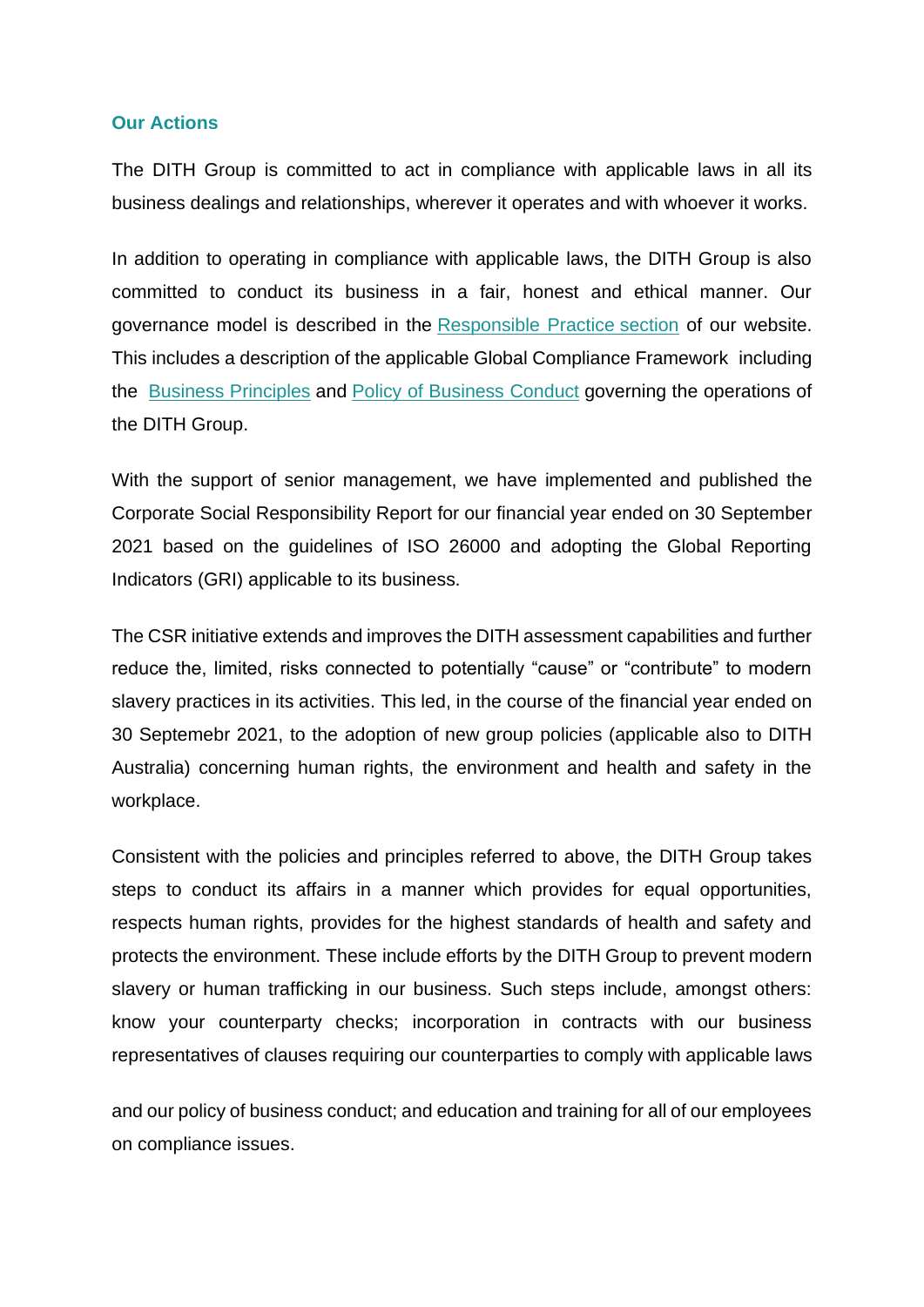#### **Our Actions**

The DITH Group is committed to act in compliance with applicable laws in all its business dealings and relationships, wherever it operates and with whoever it works.

In addition to operating in compliance with applicable laws, the DITH Group is also committed to conduct its business in a fair, honest and ethical manner. Our governance model is described in the [Responsible Practice](https://dith.com/dith/responsibility/responsible-practice.html) section of our website. This includes a description of the applicable Global Compliance Framework including the [Business Principles](https://dith.com/dith/company/business-principles.html) and [Policy of Business Conduct](https://dith.com/dith/responsibility/business-conduct.html) governing the operations of the DITH Group.

With the support of senior management, we have implemented and published the Corporate Social Responsibility Report for our financial year ended on 30 September 2021 based on the guidelines of ISO 26000 and adopting the Global Reporting Indicators (GRI) applicable to its business.

The CSR initiative extends and improves the DITH assessment capabilities and further reduce the, limited, risks connected to potentially "cause" or "contribute" to modern slavery practices in its activities. This led, in the course of the financial year ended on 30 Septemebr 2021, to the adoption of new group policies (applicable also to DITH Australia) concerning human rights, the environment and health and safety in the workplace.

Consistent with the policies and principles referred to above, the DITH Group takes steps to conduct its affairs in a manner which provides for equal opportunities, respects human rights, provides for the highest standards of health and safety and protects the environment. These include efforts by the DITH Group to prevent modern slavery or human trafficking in our business. Such steps include, amongst others: know your counterparty checks; incorporation in contracts with our business representatives of clauses requiring our counterparties to comply with applicable laws

and our policy of business conduct; and education and training for all of our employees on compliance issues.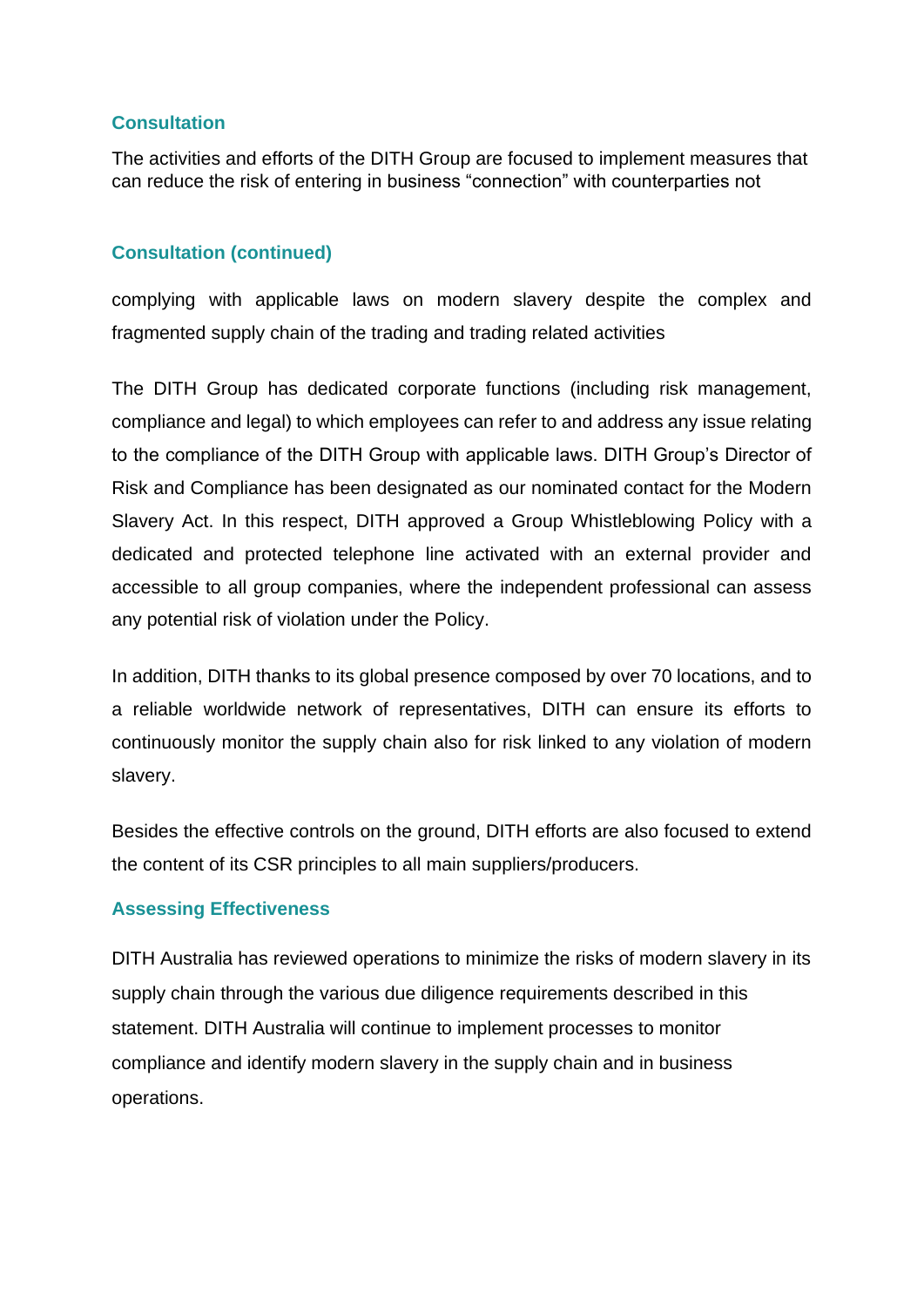# **Consultation**

The activities and efforts of the DITH Group are focused to implement measures that can reduce the risk of entering in business "connection" with counterparties not

# **Consultation (continued)**

complying with applicable laws on modern slavery despite the complex and fragmented supply chain of the trading and trading related activities

The DITH Group has dedicated corporate functions (including risk management, compliance and legal) to which employees can refer to and address any issue relating to the compliance of the DITH Group with applicable laws. DITH Group's Director of Risk and Compliance has been designated as our nominated contact for the Modern Slavery Act. In this respect, DITH approved a Group Whistleblowing Policy with a dedicated and protected telephone line activated with an external provider and accessible to all group companies, where the independent professional can assess any potential risk of violation under the Policy.

In addition, DITH thanks to its global presence composed by over 70 locations, and to a reliable worldwide network of representatives, DITH can ensure its efforts to continuously monitor the supply chain also for risk linked to any violation of modern slavery.

Besides the effective controls on the ground, DITH efforts are also focused to extend the content of its CSR principles to all main suppliers/producers.

## **Assessing Effectiveness**

DITH Australia has reviewed operations to minimize the risks of modern slavery in its supply chain through the various due diligence requirements described in this statement. DITH Australia will continue to implement processes to monitor compliance and identify modern slavery in the supply chain and in business operations.